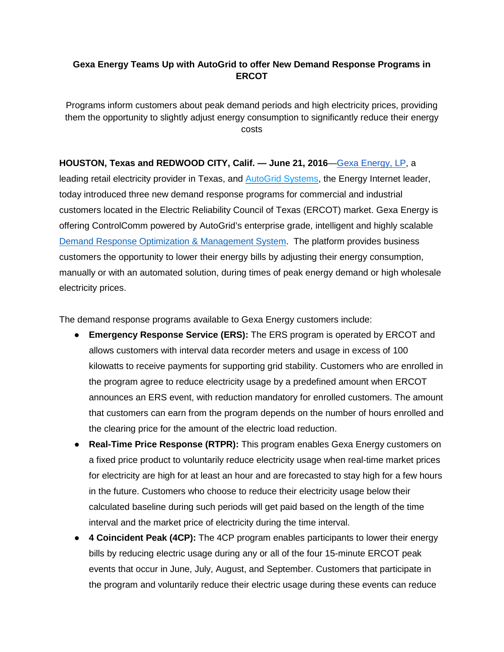# **Gexa Energy Teams Up with AutoGrid to offer New Demand Response Programs in ERCOT**

Programs inform customers about peak demand periods and high electricity prices, providing them the opportunity to slightly adjust energy consumption to significantly reduce their energy costs

# **HOUSTON, Texas and REDWOOD CITY, Calif. — June 21, 2016**[—Gexa Energy, LP,](http://www.gexaenergy.com/) a

leading retail electricity provider in Texas, and [AutoGrid Systems,](http://www.auto-grid.com/) the Energy Internet leader, today introduced three new demand response programs for commercial and industrial customers located in the Electric Reliability Council of Texas (ERCOT) market. Gexa Energy is offering ControlComm powered by AutoGrid's enterprise grade, intelligent and highly scalable [Demand Response Optimization & Management System.](http://www.auto-grid.com/technology/our-first-application-droms/) The platform provides business customers the opportunity to lower their energy bills by adjusting their energy consumption, manually or with an automated solution, during times of peak energy demand or high wholesale electricity prices.

The demand response programs available to Gexa Energy customers include:

- **Emergency Response Service (ERS):** The ERS program is operated by ERCOT and allows customers with interval data recorder meters and usage in excess of 100 kilowatts to receive payments for supporting grid stability. Customers who are enrolled in the program agree to reduce electricity usage by a predefined amount when ERCOT announces an ERS event, with reduction mandatory for enrolled customers. The amount that customers can earn from the program depends on the number of hours enrolled and the clearing price for the amount of the electric load reduction.
- **Real-Time Price Response (RTPR):** This program enables Gexa Energy customers on a fixed price product to voluntarily reduce electricity usage when real-time market prices for electricity are high for at least an hour and are forecasted to stay high for a few hours in the future. Customers who choose to reduce their electricity usage below their calculated baseline during such periods will get paid based on the length of the time interval and the market price of electricity during the time interval.
- **4 Coincident Peak (4CP):** The 4CP program enables participants to lower their energy bills by reducing electric usage during any or all of the four 15-minute ERCOT peak events that occur in June, July, August, and September. Customers that participate in the program and voluntarily reduce their electric usage during these events can reduce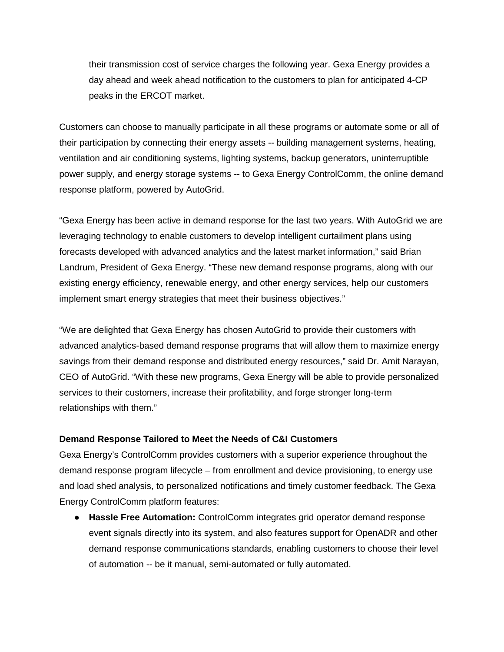their transmission cost of service charges the following year. Gexa Energy provides a day ahead and week ahead notification to the customers to plan for anticipated 4-CP peaks in the ERCOT market.

Customers can choose to manually participate in all these programs or automate some or all of their participation by connecting their energy assets -- building management systems, heating, ventilation and air conditioning systems, lighting systems, backup generators, uninterruptible power supply, and energy storage systems -- to Gexa Energy ControlComm, the online demand response platform, powered by AutoGrid.

"Gexa Energy has been active in demand response for the last two years. With AutoGrid we are leveraging technology to enable customers to develop intelligent curtailment plans using forecasts developed with advanced analytics and the latest market information," said Brian Landrum, President of Gexa Energy. "These new demand response programs, along with our existing energy efficiency, renewable energy, and other energy services, help our customers implement smart energy strategies that meet their business objectives."

"We are delighted that Gexa Energy has chosen AutoGrid to provide their customers with advanced analytics-based demand response programs that will allow them to maximize energy savings from their demand response and distributed energy resources," said Dr. Amit Narayan, CEO of AutoGrid. "With these new programs, Gexa Energy will be able to provide personalized services to their customers, increase their profitability, and forge stronger long-term relationships with them."

#### **Demand Response Tailored to Meet the Needs of C&I Customers**

Gexa Energy's ControlComm provides customers with a superior experience throughout the demand response program lifecycle – from enrollment and device provisioning, to energy use and load shed analysis, to personalized notifications and timely customer feedback. The Gexa Energy ControlComm platform features:

● **Hassle Free Automation:** ControlComm integrates grid operator demand response event signals directly into its system, and also features support for OpenADR and other demand response communications standards, enabling customers to choose their level of automation -- be it manual, semi-automated or fully automated.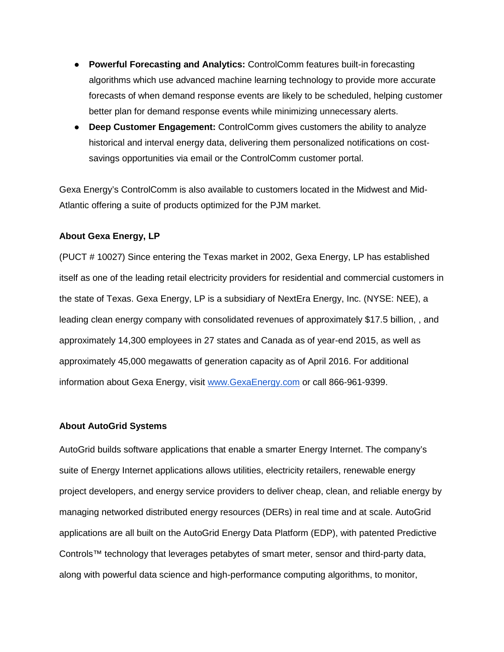- **Powerful Forecasting and Analytics:** ControlComm features built-in forecasting algorithms which use advanced machine learning technology to provide more accurate forecasts of when demand response events are likely to be scheduled, helping customer better plan for demand response events while minimizing unnecessary alerts.
- **Deep Customer Engagement:** ControlComm gives customers the ability to analyze historical and interval energy data, delivering them personalized notifications on costsavings opportunities via email or the ControlComm customer portal.

Gexa Energy's ControlComm is also available to customers located in the Midwest and Mid-Atlantic offering a suite of products optimized for the PJM market.

### **About Gexa Energy, LP**

(PUCT # 10027) Since entering the Texas market in 2002, Gexa Energy, LP has established itself as one of the leading retail electricity providers for residential and commercial customers in the state of Texas. Gexa Energy, LP is a subsidiary of NextEra Energy, Inc. (NYSE: NEE), a leading clean energy company with consolidated revenues of approximately \$17.5 billion, , and approximately 14,300 employees in 27 states and Canada as of year-end 2015, as well as approximately 45,000 megawatts of generation capacity as of April 2016. For additional information about Gexa Energy, visit [www.GexaEnergy.com](http://www.gexaenergy.com/) or call 866-961-9399.

### **About AutoGrid Systems**

AutoGrid builds software applications that enable a smarter Energy Internet. The company's suite of Energy Internet applications allows utilities, electricity retailers, renewable energy project developers, and energy service providers to deliver cheap, clean, and reliable energy by managing networked distributed energy resources (DERs) in real time and at scale. AutoGrid applications are all built on the AutoGrid Energy Data Platform (EDP), with patented Predictive Controls™ technology that leverages petabytes of smart meter, sensor and third-party data, along with powerful data science and high-performance computing algorithms, to monitor,